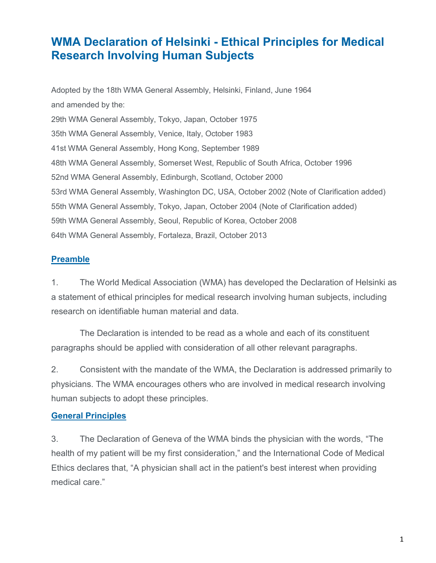# **WMA Declaration of Helsinki - Ethical Principles for Medical Research Involving Human Subjects**

Adopted by the 18th WMA General Assembly, Helsinki, Finland, June 1964 and amended by the: 29th WMA General Assembly, Tokyo, Japan, October 1975 35th WMA General Assembly, Venice, Italy, October 1983 41st WMA General Assembly, Hong Kong, September 1989 48th WMA General Assembly, Somerset West, Republic of South Africa, October 1996 52nd WMA General Assembly, Edinburgh, Scotland, October 2000 53rd WMA General Assembly, Washington DC, USA, October 2002 (Note of Clarification added) 55th WMA General Assembly, Tokyo, Japan, October 2004 (Note of Clarification added) 59th WMA General Assembly, Seoul, Republic of Korea, October 2008 64th WMA General Assembly, Fortaleza, Brazil, October 2013

# **Preamble**

1. The World Medical Association (WMA) has developed the Declaration of Helsinki as a statement of ethical principles for medical research involving human subjects, including research on identifiable human material and data.

 The Declaration is intended to be read as a whole and each of its constituent paragraphs should be applied with consideration of all other relevant paragraphs.

2. Consistent with the mandate of the WMA, the Declaration is addressed primarily to physicians. The WMA encourages others who are involved in medical research involving human subjects to adopt these principles.

## **General Principles**

3. The Declaration of Geneva of the WMA binds the physician with the words, "The health of my patient will be my first consideration," and the International Code of Medical Ethics declares that, "A physician shall act in the patient's best interest when providing medical care."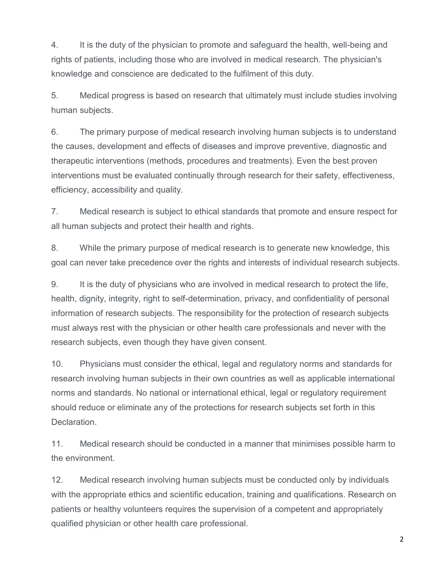4. It is the duty of the physician to promote and safeguard the health, well-being and rights of patients, including those who are involved in medical research. The physician's knowledge and conscience are dedicated to the fulfilment of this duty.

5. Medical progress is based on research that ultimately must include studies involving human subjects.

6. The primary purpose of medical research involving human subjects is to understand the causes, development and effects of diseases and improve preventive, diagnostic and therapeutic interventions (methods, procedures and treatments). Even the best proven interventions must be evaluated continually through research for their safety, effectiveness, efficiency, accessibility and quality.

7. Medical research is subject to ethical standards that promote and ensure respect for all human subjects and protect their health and rights.

8. While the primary purpose of medical research is to generate new knowledge, this goal can never take precedence over the rights and interests of individual research subjects.

9. It is the duty of physicians who are involved in medical research to protect the life, health, dignity, integrity, right to self-determination, privacy, and confidentiality of personal information of research subjects. The responsibility for the protection of research subjects must always rest with the physician or other health care professionals and never with the research subjects, even though they have given consent.

10. Physicians must consider the ethical, legal and regulatory norms and standards for research involving human subjects in their own countries as well as applicable international norms and standards. No national or international ethical, legal or regulatory requirement should reduce or eliminate any of the protections for research subjects set forth in this Declaration.

11. Medical research should be conducted in a manner that minimises possible harm to the environment.

12. Medical research involving human subjects must be conducted only by individuals with the appropriate ethics and scientific education, training and qualifications. Research on patients or healthy volunteers requires the supervision of a competent and appropriately qualified physician or other health care professional.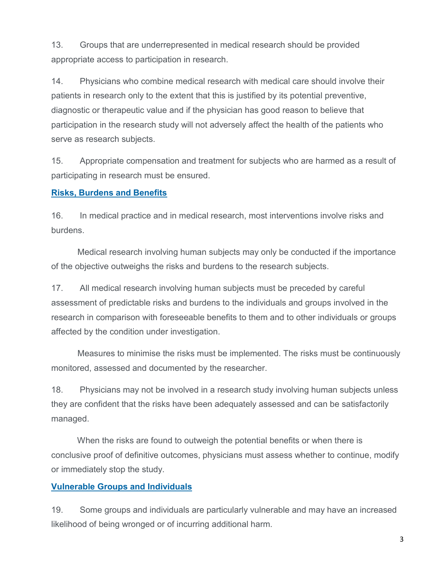13. Groups that are underrepresented in medical research should be provided appropriate access to participation in research.

14. Physicians who combine medical research with medical care should involve their patients in research only to the extent that this is justified by its potential preventive, diagnostic or therapeutic value and if the physician has good reason to believe that participation in the research study will not adversely affect the health of the patients who serve as research subjects.

15. Appropriate compensation and treatment for subjects who are harmed as a result of participating in research must be ensured.

#### **Risks, Burdens and Benefits**

16. In medical practice and in medical research, most interventions involve risks and burdens.

Medical research involving human subjects may only be conducted if the importance of the objective outweighs the risks and burdens to the research subjects.

17. All medical research involving human subjects must be preceded by careful assessment of predictable risks and burdens to the individuals and groups involved in the research in comparison with foreseeable benefits to them and to other individuals or groups affected by the condition under investigation.

Measures to minimise the risks must be implemented. The risks must be continuously monitored, assessed and documented by the researcher.

18. Physicians may not be involved in a research study involving human subjects unless they are confident that the risks have been adequately assessed and can be satisfactorily managed.

When the risks are found to outweigh the potential benefits or when there is conclusive proof of definitive outcomes, physicians must assess whether to continue, modify or immediately stop the study.

## **Vulnerable Groups and Individuals**

19. Some groups and individuals are particularly vulnerable and may have an increased likelihood of being wronged or of incurring additional harm.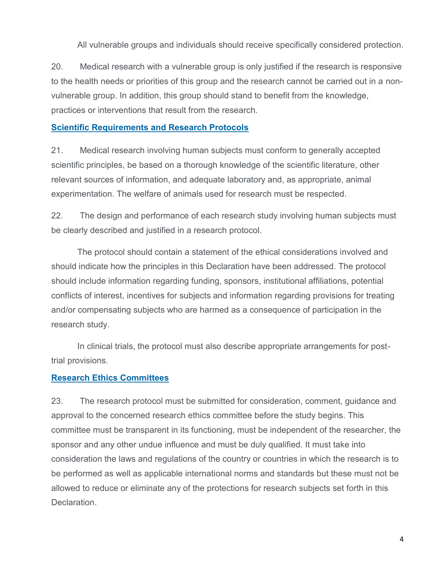All vulnerable groups and individuals should receive specifically considered protection.

20. Medical research with a vulnerable group is only justified if the research is responsive to the health needs or priorities of this group and the research cannot be carried out in a nonvulnerable group. In addition, this group should stand to benefit from the knowledge, practices or interventions that result from the research.

#### **Scientific Requirements and Research Protocols**

21. Medical research involving human subjects must conform to generally accepted scientific principles, be based on a thorough knowledge of the scientific literature, other relevant sources of information, and adequate laboratory and, as appropriate, animal experimentation. The welfare of animals used for research must be respected.

22. The design and performance of each research study involving human subjects must be clearly described and justified in a research protocol.

The protocol should contain a statement of the ethical considerations involved and should indicate how the principles in this Declaration have been addressed. The protocol should include information regarding funding, sponsors, institutional affiliations, potential conflicts of interest, incentives for subjects and information regarding provisions for treating and/or compensating subjects who are harmed as a consequence of participation in the research study.

In clinical trials, the protocol must also describe appropriate arrangements for posttrial provisions.

## **Research Ethics Committees**

23. The research protocol must be submitted for consideration, comment, guidance and approval to the concerned research ethics committee before the study begins. This committee must be transparent in its functioning, must be independent of the researcher, the sponsor and any other undue influence and must be duly qualified. It must take into consideration the laws and regulations of the country or countries in which the research is to be performed as well as applicable international norms and standards but these must not be allowed to reduce or eliminate any of the protections for research subjects set forth in this Declaration.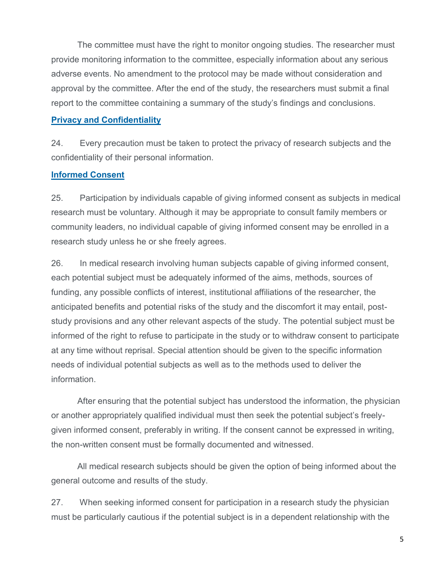The committee must have the right to monitor ongoing studies. The researcher must provide monitoring information to the committee, especially information about any serious adverse events. No amendment to the protocol may be made without consideration and approval by the committee. After the end of the study, the researchers must submit a final report to the committee containing a summary of the study's findings and conclusions.

#### **Privacy and Confidentiality**

24. Every precaution must be taken to protect the privacy of research subjects and the confidentiality of their personal information.

## **Informed Consent**

25. Participation by individuals capable of giving informed consent as subjects in medical research must be voluntary. Although it may be appropriate to consult family members or community leaders, no individual capable of giving informed consent may be enrolled in a research study unless he or she freely agrees.

26. In medical research involving human subjects capable of giving informed consent, each potential subject must be adequately informed of the aims, methods, sources of funding, any possible conflicts of interest, institutional affiliations of the researcher, the anticipated benefits and potential risks of the study and the discomfort it may entail, poststudy provisions and any other relevant aspects of the study. The potential subject must be informed of the right to refuse to participate in the study or to withdraw consent to participate at any time without reprisal. Special attention should be given to the specific information needs of individual potential subjects as well as to the methods used to deliver the information.

After ensuring that the potential subject has understood the information, the physician or another appropriately qualified individual must then seek the potential subject's freelygiven informed consent, preferably in writing. If the consent cannot be expressed in writing, the non-written consent must be formally documented and witnessed.

All medical research subjects should be given the option of being informed about the general outcome and results of the study.

27. When seeking informed consent for participation in a research study the physician must be particularly cautious if the potential subject is in a dependent relationship with the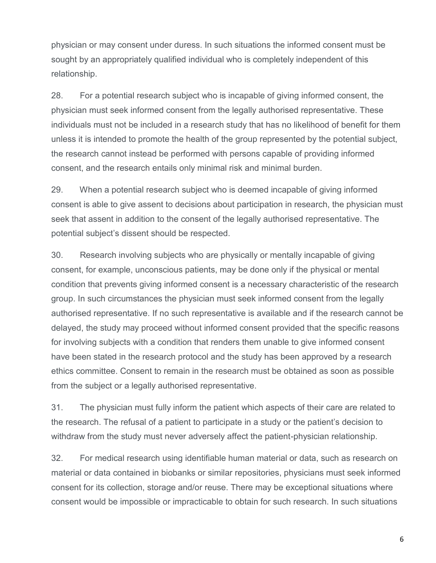physician or may consent under duress. In such situations the informed consent must be sought by an appropriately qualified individual who is completely independent of this relationship.

28. For a potential research subject who is incapable of giving informed consent, the physician must seek informed consent from the legally authorised representative. These individuals must not be included in a research study that has no likelihood of benefit for them unless it is intended to promote the health of the group represented by the potential subject, the research cannot instead be performed with persons capable of providing informed consent, and the research entails only minimal risk and minimal burden.

29. When a potential research subject who is deemed incapable of giving informed consent is able to give assent to decisions about participation in research, the physician must seek that assent in addition to the consent of the legally authorised representative. The potential subject's dissent should be respected.

30. Research involving subjects who are physically or mentally incapable of giving consent, for example, unconscious patients, may be done only if the physical or mental condition that prevents giving informed consent is a necessary characteristic of the research group. In such circumstances the physician must seek informed consent from the legally authorised representative. If no such representative is available and if the research cannot be delayed, the study may proceed without informed consent provided that the specific reasons for involving subjects with a condition that renders them unable to give informed consent have been stated in the research protocol and the study has been approved by a research ethics committee. Consent to remain in the research must be obtained as soon as possible from the subject or a legally authorised representative.

31. The physician must fully inform the patient which aspects of their care are related to the research. The refusal of a patient to participate in a study or the patient's decision to withdraw from the study must never adversely affect the patient-physician relationship.

32. For medical research using identifiable human material or data, such as research on material or data contained in biobanks or similar repositories, physicians must seek informed consent for its collection, storage and/or reuse. There may be exceptional situations where consent would be impossible or impracticable to obtain for such research. In such situations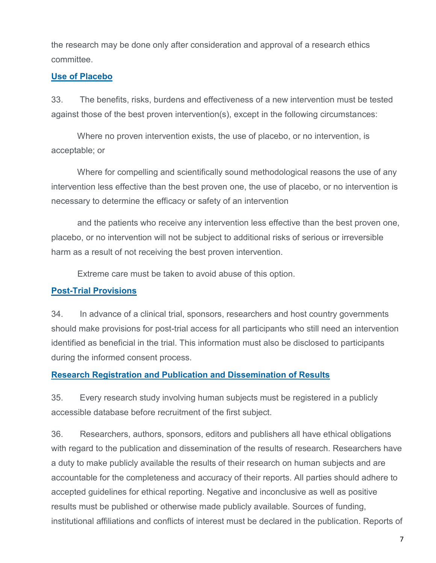the research may be done only after consideration and approval of a research ethics committee.

#### **Use of Placebo**

33. The benefits, risks, burdens and effectiveness of a new intervention must be tested against those of the best proven intervention(s), except in the following circumstances:

Where no proven intervention exists, the use of placebo, or no intervention, is acceptable; or

Where for compelling and scientifically sound methodological reasons the use of any intervention less effective than the best proven one, the use of placebo, or no intervention is necessary to determine the efficacy or safety of an intervention

and the patients who receive any intervention less effective than the best proven one, placebo, or no intervention will not be subject to additional risks of serious or irreversible harm as a result of not receiving the best proven intervention.

Extreme care must be taken to avoid abuse of this option.

## **Post-Trial Provisions**

34. In advance of a clinical trial, sponsors, researchers and host country governments should make provisions for post-trial access for all participants who still need an intervention identified as beneficial in the trial. This information must also be disclosed to participants during the informed consent process.

## **Research Registration and Publication and Dissemination of Results**

35. Every research study involving human subjects must be registered in a publicly accessible database before recruitment of the first subject.

36. Researchers, authors, sponsors, editors and publishers all have ethical obligations with regard to the publication and dissemination of the results of research. Researchers have a duty to make publicly available the results of their research on human subjects and are accountable for the completeness and accuracy of their reports. All parties should adhere to accepted guidelines for ethical reporting. Negative and inconclusive as well as positive results must be published or otherwise made publicly available. Sources of funding, institutional affiliations and conflicts of interest must be declared in the publication. Reports of